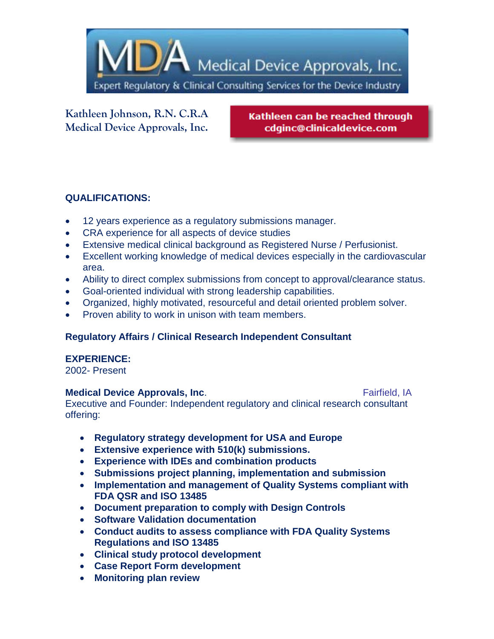

**Kathleen Johnson, R.N. C.R.A Medical Device Approvals, Inc.** 

Kathleen can be reached through cdginc@clinicaldevice.com

# **QUALIFICATIONS:**

- 12 years experience as a regulatory submissions manager.
- CRA experience for all aspects of device studies
- Extensive medical clinical background as Registered Nurse / Perfusionist.
- Excellent working knowledge of medical devices especially in the cardiovascular area.
- Ability to direct complex submissions from concept to approval/clearance status.
- Goal-oriented individual with strong leadership capabilities.
- Organized, highly motivated, resourceful and detail oriented problem solver.
- Proven ability to work in unison with team members.

# **Regulatory Affairs / Clinical Research Independent Consultant**

#### **EXPERIENCE:**

2002- Present

#### **Medical Device Approvals, Inc.** The Contract of Team and Team Fairfield, IA

Executive and Founder: Independent regulatory and clinical research consultant offering:

- **Regulatory strategy development for USA and Europe**
- **Extensive experience with 510(k) submissions.**
- **Experience with IDEs and combination products**
- **Submissions project planning, implementation and submission**
- **Implementation and management of Quality Systems compliant with FDA QSR and ISO 13485**
- **Document preparation to comply with Design Controls**
- **Software Validation documentation**
- **Conduct audits to assess compliance with FDA Quality Systems Regulations and ISO 13485**
- **Clinical study protocol development**
- **Case Report Form development**
- **Monitoring plan review**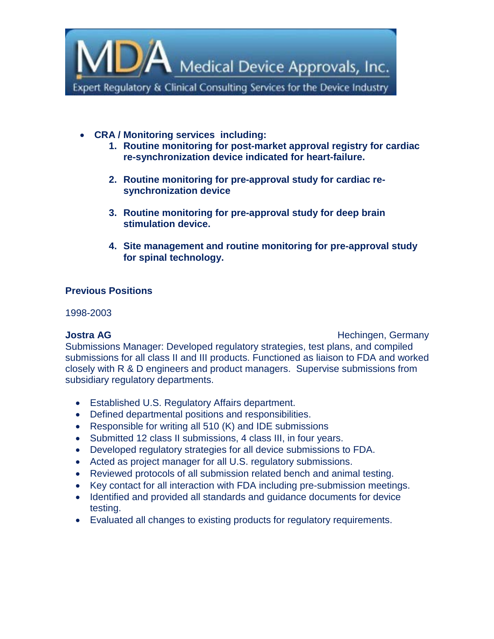

- **CRA / Monitoring services including:**
	- **1. Routine monitoring for post-market approval registry for cardiac re-synchronization device indicated for heart-failure.**
	- **2. Routine monitoring for pre-approval study for cardiac resynchronization device**
	- **3. Routine monitoring for pre-approval study for deep brain stimulation device.**
	- **4. Site management and routine monitoring for pre-approval study for spinal technology.**

# **Previous Positions**

1998-2003

**Jostra AG Hechingen, Germany** Submissions Manager: Developed regulatory strategies, test plans, and compiled submissions for all class II and III products. Functioned as liaison to FDA and worked closely with R & D engineers and product managers. Supervise submissions from subsidiary regulatory departments.

- Established U.S. Regulatory Affairs department.
- Defined departmental positions and responsibilities.
- Responsible for writing all 510 (K) and IDE submissions
- Submitted 12 class II submissions, 4 class III, in four years.
- Developed regulatory strategies for all device submissions to FDA.
- Acted as project manager for all U.S. regulatory submissions.
- Reviewed protocols of all submission related bench and animal testing.
- Key contact for all interaction with FDA including pre-submission meetings.
- Identified and provided all standards and guidance documents for device testing.
- Evaluated all changes to existing products for regulatory requirements.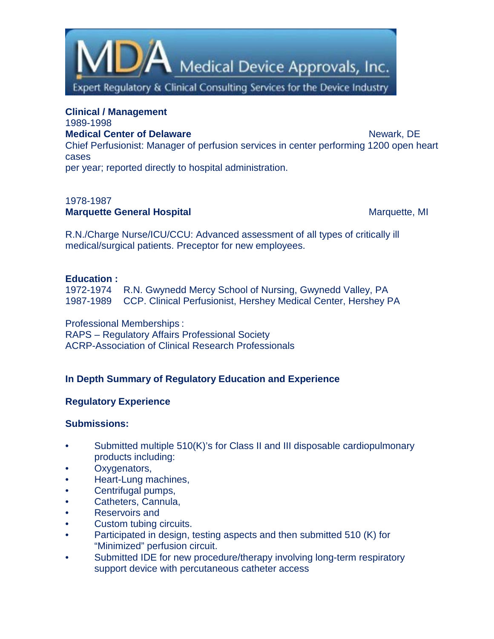

**Clinical / Management** 1989-1998 **Medical Center of Delaware** News 2008 and Newark, DE Chief Perfusionist: Manager of perfusion services in center performing 1200 open heart cases

per year; reported directly to hospital administration.

### 1978-1987 **Marquette General Hospital**  Marquette, MI

R.N./Charge Nurse/ICU/CCU: Advanced assessment of all types of critically ill medical/surgical patients. Preceptor for new employees.

#### **Education :**

1972-1974 R.N. Gwynedd Mercy School of Nursing, Gwynedd Valley, PA 1987-1989 CCP. Clinical Perfusionist, Hershey Medical Center, Hershey PA

Professional Memberships : RAPS – Regulatory Affairs Professional Society ACRP-Association of Clinical Research Professionals

# **In Depth Summary of Regulatory Education and Experience**

# **Regulatory Experience**

#### **Submissions:**

- Submitted multiple 510(K)'s for Class II and III disposable cardiopulmonary products including:
- Oxygenators,
- Heart-Lung machines,
- Centrifugal pumps,
- Catheters, Cannula,
- Reservoirs and
- Custom tubing circuits.
- Participated in design, testing aspects and then submitted 510 (K) for "Minimized" perfusion circuit.
- Submitted IDE for new procedure/therapy involving long-term respiratory support device with percutaneous catheter access